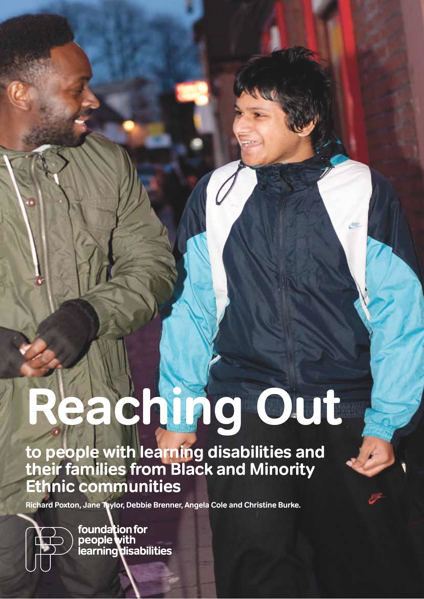# **Reaching Out**

492

**to people with learning disabilities and their families from Black and Minority Ethnic communities**

**Richard Poxton, Jane Taylor, Debbie Brenner, Angela Cole and Christine Burke.**



foundation for<br>people with<br>learning disabilities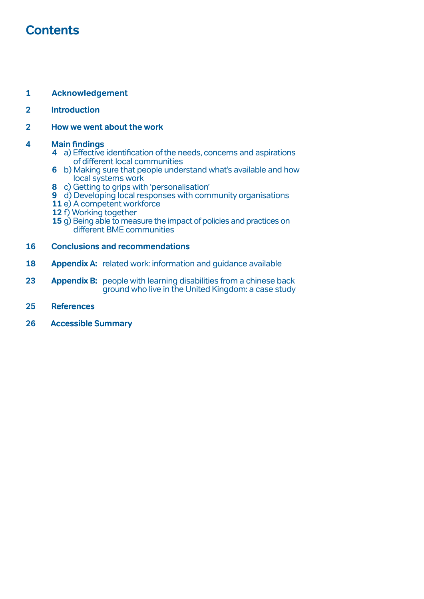# **Contents**

## **1 Acknowledgement**

## **[Introduction](#page-3-0)**

#### **[How we went about the work](#page-3-0)**

#### **4 Main [findings](#page-5-0)**

- a) Effective [identification](#page-5-0) ofthe needs, concerns and aspirations of different local [communities](#page-5-0)
- b) Making sure that people [understand](#page-7-0) what's available and how local [systems](#page-7-0) work
- c) Getting to grips with ['personalisation](#page-9-0)'
- d) Developing local responses with community [organisations](#page-10-0)
- e) A [competent](#page-12-0) workforce
- f) Working [together](#page-13-0)
- g) Being able to measure the impact of policies and practices on different BME [communities](#page-16-0)

#### **[Conclusions and recommendations](#page-17-0)**

- **[Appendix A:](#page-19-0)** related work: information and guidance available
- **[Appendix B:](#page-24-0)** people with learning disabilities from a chinese back  [ground](#page-24-0) who live in the United Kingdom: a case study
- **[References](#page-26-0)**
- **26 Accessible Summary**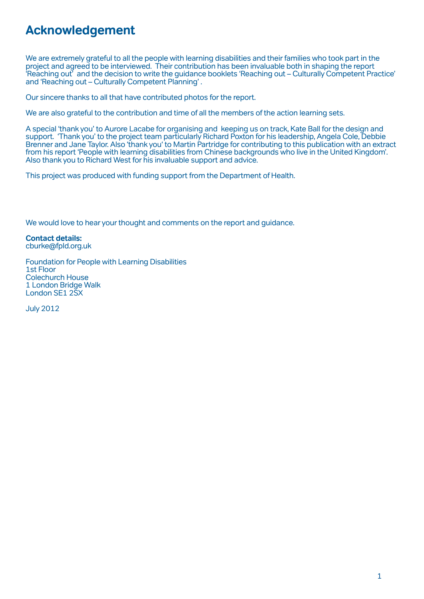# **Acknowledgement**

We are extremely grateful to all the people with learning disabilities and their families who took part in the project and agreed to be interviewed. Their contribution has been invaluable both in shaping the report 'Reaching out' and the decision to write the guidance booklets 'Reaching out – Culturally Competent Practice' and 'Reaching out – Culturally Competent Planning' .

Our sincere thanks to all that have contributed photos for the report.

We are also grateful to the contribution and time of all the members of the action learning sets.

A special 'thank you' to Aurore Lacabe for organising and keeping us on track, Kate Ball forthe design and support. 'Thank you' to the project team particularly Richard Poxton for his leadership, Angela Cole, Debbie Brenner and Jane Taylor. Also 'thank you' to Martin Partridge for contributing to this publication with an extract from his report 'People with learning disabilities from Chinese backgrounds who live in the United Kingdom'. Also thank you to Richard West for his invaluable support and advice.

This project was produced with funding support from the Department of Health.

We would love to hear your thought and comments on the report and guidance.

**Contact details:** [cburke@fpld.org.uk](mailto:cburke%40fpld.org.uk?subject=)

Foundation for People with Learning Disabilities 1st Floor Colechurch House 1 London Bridge Walk London SE1 2SX

July 2012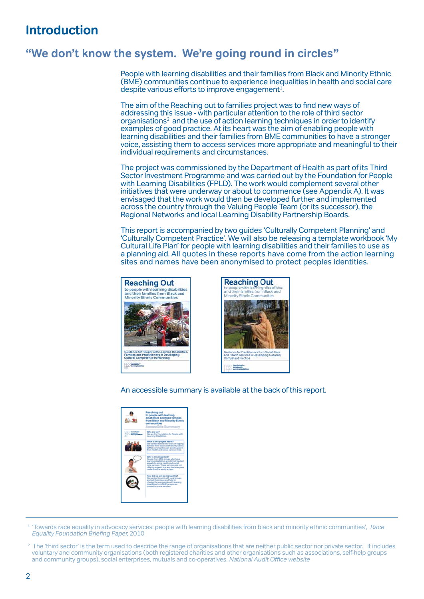# <span id="page-3-0"></span>**Introduction**

# **"We don't know the system. We're going round in circles"**

People with learning disabilities and their families from Black and Minority Ethnic (BME) communities continue to experience inequalities in health and social care despite various efforts to improve engagement<sup>1</sup>.

The aim of the Reaching out to families project was to find new ways of addressing this issue - with particular attention to the role ofthird sector organisations<sup>2</sup> and the use of action learning techniques in order to identify examples of good practice. At its heart was the aim of enabling people with learning disabilities and their families from BME communities to have a stronger voice, assisting them to access services more appropriate and meaningful to their individual requirements and circumstances.

The project was commissioned by the Department of Health as part of its Third Sector Investment Programme and was carried out by the Foundation for People with Learning Disabilities (FPLD). The work would complement several other initiatives that were underway or about to commence (see Appendix A). It was envisaged that the work would then be developed further and implemented across the country through the Valuing People Team (or its successor), the Regional Networks and local Learning Disability Partnership Boards.

This report is accompanied by two guides 'Culturally Competent Planning' and 'Culturally Competent Practice'. We will also be releasing a template workbook 'My Cultural Life Plan' for people with learning disabilities and their families to use as a planning aid. All quotes in these reports have come from the action learning sites and names have been anonymised to protect peoples identities.





An accessible summary is available at the back of this report.

| Reaching out<br>to people with learning<br>disabilities and their families<br>from Black and Minority Ethnic<br>communities<br>unnessible Summary                                                                                                                  |
|--------------------------------------------------------------------------------------------------------------------------------------------------------------------------------------------------------------------------------------------------------------------|
| White are use?<br>We are the Foundation for People with<br>Learning Disabilities                                                                                                                                                                                   |
| What is this project about?<br>We wanted to find new ways of helping<br>Families from Black and Minority Ethnic<br>(IBAL) communities get good support<br>from health and sociar care services.                                                                    |
| Why is this important?<br>Peciple from BME groups who have<br>learning disabilities are still not treated<br>equally by some health and social<br>care services. These services are not<br>offering support in a way that everyone<br>understand or easily access. |
| How did we aim to change this?<br>We wanted to work with local groups<br>and get their ideas and help to<br>change the way people with learning<br>disabilities from <b>UIAE</b> groups are<br>treated by some services.                                           |
|                                                                                                                                                                                                                                                                    |

<sup>1</sup> Towards race equality in advocacy services: people with learning disabilities from black and minority ethnic communities', Race Equality Foundation Briefing Paper, 2010

 $2$  The 'third sector' is the term used to describe the range of organisations that are neither public sector nor private sector. It includes voluntary and community organisations (both registered charities and other organisations such as associations, self-help groups and community groups), social enterprises, mutuals and co-operatives. National Audit Office website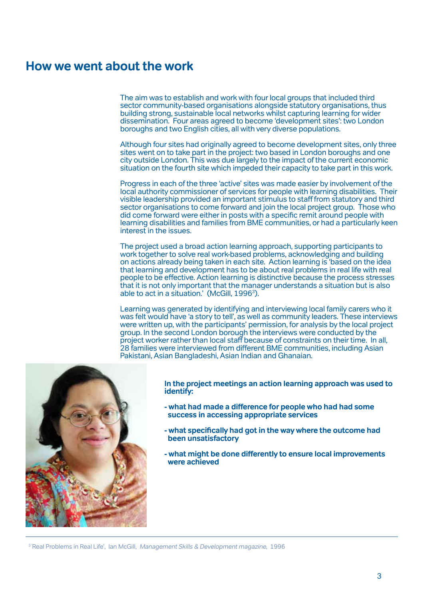# **How we went about the work**

The aim was to establish and work with four local groups that included third sector community-based organisations alongside statutory organisations, thus building strong, sustainable local networks whilst capturing learning for wider dissemination. Four areas agreed to become 'development sites': two London boroughs and two English cities, all with very diverse populations.

Although four sites had originally agreed to become development sites, only three sites went on to take part in the project: two based in London boroughs and one city outside London. This was due largely to the impact ofthe current economic situation on the fourth site which impeded their capacity to take part in this work.

Progress in each ofthe three 'active' sites was made easier by involvement ofthe local authority commissioner of services for people with learning disabilities. Their visible leadership provided an important stimulus to staff from statutory and third sector organisations to come forward and join the local project group. Those who did come forward were eitherin posts with a specific remit around people with learning disabilities and families from BME communities, or had a particularly keen interest in the issues.

The project used a broad action learning approach, supporting participants to work together to solve real work-based problems, acknowledging and building on actions already being taken in each site. Action learning is 'based on the idea that learning and development has to be about real problems in real life with real people to be effective. Action learning is distinctive because the process stresses that it is not only important that the manager understands a situation but is also able to act in a situation.' (McGill, 1996<sup>3</sup>).

Learning was generated by identifying and interviewing local family carers who it was felt would have 'a story to tell', as well as community leaders. These interviews were written up, with the participants' permission, for analysis by the local project group. In the second London borough the interviews were conducted by the project worker rather than local staff because of constraints on their time. In all, 28 families were interviewed from different BME communities, including Asian Pakistani, Asian Bangladeshi, Asian Indian and Ghanaian.



**In the project meetings an action learning approach was used to identify:**

- **- what had made a difference for people who had had some success in accessing appropriate services**
- **- what specifically had got in the way where the outcome had been unsatisfactory**
- **- what might be done differently to ensure local improvements were achieved**

<sup>3</sup> Real Problems in Real Life', Ian McGill, *Management Skills & Development magazine*, 1996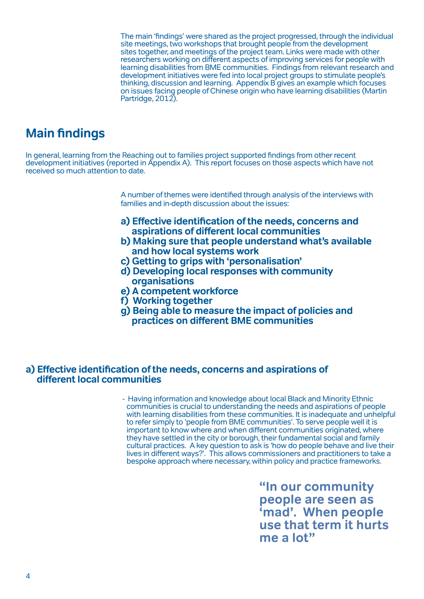<span id="page-5-0"></span>The main 'findings' were shared as the project progressed, through the individual site meetings, two workshops that brought people from the development sites together, and meetings of the project team. Links were made with other researchers working on different aspects of improving services for people with learning disabilities from BME communities. Findings from relevant research and development initiatives were fed into local project groups to stimulate people's thinking, discussion and learning. Appendix B gives an example which focuses on issues facing people ofChinese origin who have learning disabilities (Martin Partridge, 2012).

# **Main findings**

In general, learning from the Reaching out to families project supported findings from other recent development initiatives (reported in Appendix A). This report focuses on those aspects which have not received so much attention to date.

> A number of themes were identified through analysis of the interviews with families and in-depth discussion about the issues:

- **a) Effective identification ofthe needs, concerns and aspirations of different local communities**
- **b) Making sure that people understand what's available and how local systems work**
- **c) Getting to grips with 'personalisation'**
- **d) Developing local responses with community organisations**
- **e) A competent workforce**
- **f) Working together**
- **g) Being able to measure the impact of policies and practices on different BME communities**

#### **a) Effective identification ofthe needs, concerns and aspirations of different local communities**

- Having information and knowledge about local Black and Minority Ethnic communities is crucial to understanding the needs and aspirations of people with learning disabilities from these communities. It is inadequate and unhelpful to refer simply to 'people from BME communities'. To serve people well it is important to know where and when different communities originated, where they have settled in the city or borough, their fundamental social and family cultural practices. A key question to ask is 'how do people behave and live their lives in different ways?'. This allows commissioners and practitioners to take a bespoke approach where necessary, within policy and practice frameworks.

> **"In our community people are seen as 'mad'. When people use that term it hurts me a lot"**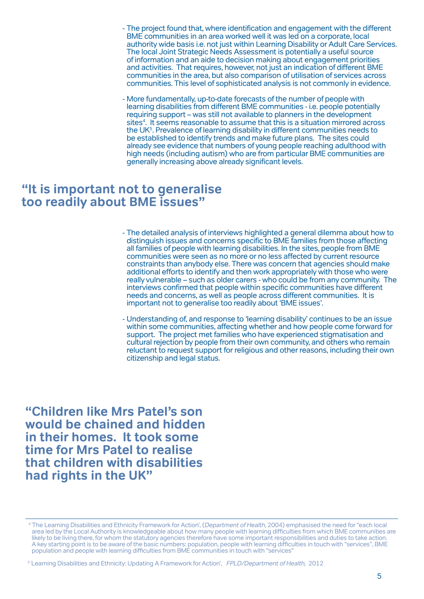- The project found that, where identification and engagement with the different BME communities in an area worked well it was led on a corporate, local authority wide basis i.e. not just within Learning Disability or Adult Care Services. The local Joint Strategic Needs Assessment is potentially a useful source of information and an aide to decision making about engagement priorities and activities. That requires, however, not just an indication of different BME communities in the area, but also comparison of utilisation of services across communities. This level of sophisticated analysis is not commonly in evidence.
- More fundamentally, up-to-date forecasts of the number of people with learning disabilities from different BME communities - i.e. people potentially requiring support – was still not available to planners in the development sites<sup>4</sup>. It seems reasonable to assume that this is a situation mirrored across the UK<sup>5</sup>. Prevalence of learning disability in different communities needs to be established to identify trends and make future plans. The sites could already see evidence that numbers of young people reaching adulthood with high needs (including autism) who are from particular BME communities are generally increasing above already significant levels.

# **"It is important not to generalise too readily about BME issues"**

- The detailed analysis of interviews highlighted a general dilemma about how to distinguish issues and concerns specific to BME families from those affecting all families of people with learning disabilities. In the sites, people from BME communities were seen as no more or no less affected by current resource constraints than anybody else. There was concern that agencies should make additional efforts to identify and then work appropriately with those who were really vulnerable – such as older carers - who could be from any community. The interviews confirmed that people within specific communities have different needs and concerns, as well as people across different communities. It is important not to generalise too readily about 'BME issues'.
- Understanding of, and response to 'learning disability' continues to be an issue within some communities, affecting whether and how people come forward for support. The project met families who have experienced stigmatisation and cultural rejection by people from their own community, and others who remain reluctant to request support forreligious and otherreasons, including their own citizenship and legal status.

**"Children like Mrs Patel's son would be chained and hidden in their homes. It took some time for Mrs Patel to realise that children with disabilities had rights in the UK"**

<sup>&</sup>lt;sup>4</sup> The Learning Disabilities and Ethnicity Framework for Action', (Department of Health, 2004) emphasised the need for "each local area led by the Local Authority is knowledgeable about how many people with learning difficulties from which BME communities are likely to be living there, for whom the statutory agencies therefore have some important responsibilities and duties to take action. A key starting point is to be aware ofthe basic numbers: population, people with learning difficulties in touch with "services", BME population and people with learning difficulties from BME communities in touch with "services"

<sup>&</sup>lt;sup>5</sup> 'Learning Disabilities and Ethnicity: Updating A Framework for Action', FPLD/Department of Health, 2012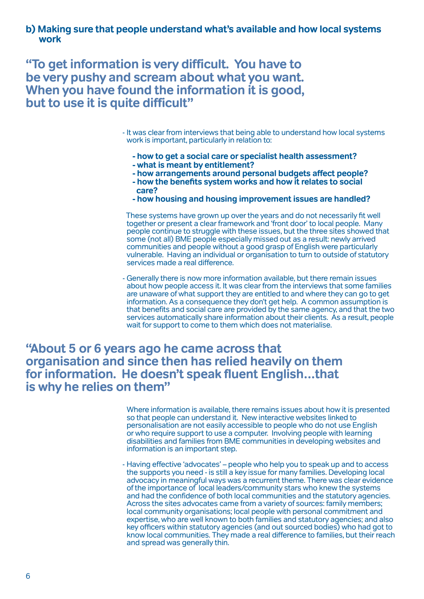<span id="page-7-0"></span>**b) Making sure that people understand what's available and how local systems work**

**"To get information is very difficult. You have to be very pushy and scream about what you want. When you have found the information it is good, but to use it is quite difficult"**

> - It was clear from interviews that being able to understand how local systems work is important, particularly in relation to:

- **how to get a social care or specialist health assessment?**
- 
- **what is meant by entitlement?**
- how the benefits system works and how it relates to social  **care?**
- **how housing and housing improvement issues are handled?**

 These systems have grown up overthe years and do not necessarily fit well together or present a clearframework and 'front door' to local people. Many people continue to struggle with these issues, but the three sites showed that some (not all) BME people especially missed out as a result: newly arrived communities and people without a good grasp of English were particularly vulnerable. Having an individual or organisation to turn to outside of statutory services made a real difference.

- Generally there is now more information available, but there remain issues about how people access it. It was clear from the interviews that some families are unaware of what support they are entitled to and where they can go to get information. As a consequence they don't get help. A common assumption is that benefits and social care are provided by the same agency, and that the two services automatically share information about their clients. As a result, people wait for support to come to them which does not materialise.

# **"About 5 or 6 years ago he came across that organisation and since then has relied heavily on them for information. He doesn't speak fluent English…that is why he relies on them"**

Where information is available, there remains issues about how it is presented so that people can understand it. New interactive websites linked to personalisation are not easily accessible to people who do not use English or who require support to use a computer. Involving people with learning disabilities and families from BME communities in developing websites and information is an important step.

- Having effective 'advocates' – people who help you to speak up and to access the supports you need - is still a key issue for many families. Developing local advocacy in meaningful ways was a recurrent theme. There was clear evidence ofthe importance of local leaders/community stars who knew the systems and had the confidence of both local communities and the statutory agencies. Across the sites advocates came from a variety of sources: family members; local community organisations; local people with personal commitment and expertise, who are well known to both families and statutory agencies; and also key officers within statutory agencies (and out sourced bodies) who had got to know local communities. They made a real difference to families, but their reach and spread was generally thin.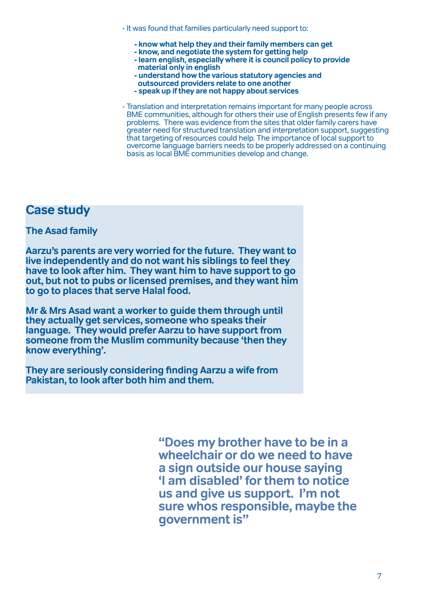- It was found that families particularly need support to:
	- **know what help they and their family members can get**
	- **know, and negotiate the system for getting help**
	- **learn english, especially where it is council policy to provide material only in english**
	- **understand how the various statutory agencies and**
	- **outsourced providers relate to one another**
	- **speak up if they are not happy about services**

- Translation and interpretation remains important for many people across BME communities, although for others their use of English presents few if any problems. There was evidence from the sites that older family carers have greater need for structured translation and interpretation support, suggesting that targeting ofresources could help. The importance of local support to overcome language barriers needs to be properly addressed on a continuing basis as local BME communities develop and change.

# **Case study**

# **The Asad family**

**Aarzu's parents are very worried for the future. They want to live independently and do not want his siblings to feel they have to look after him. They want him to have support to go out, but not to pubs or licensed premises, and they want him to go to places that serve Halal food.** 

**Mr & Mrs Asad want a worker to guide them through until they actually get services, someone who speaks their language. They would prefer Aarzu to have support from someone from the Muslim community because 'then they know everything'.**

**They are seriously considering finding Aarzu a wife from Pakistan, to look after both him and them.**

> **"Does my brother have to be in a wheelchair or do we need to have a sign outside our house saying 'I am disabled' for them to notice us and give us support. I'm not sure whos responsible, maybe the government is"**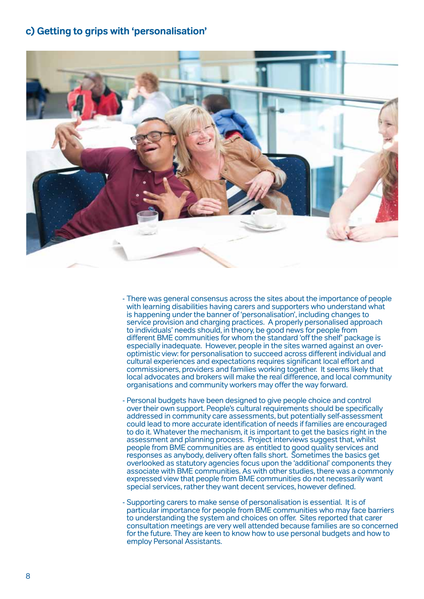# <span id="page-9-0"></span>**c) Getting to grips with 'personalisation'**



- There was general consensus across the sites about the importance of people with learning disabilities having carers and supporters who understand what is happening under the banner of 'personalisation', including changes to service provision and charging practices. A properly personalised approach to individuals' needs should, in theory, be good news for people from different BME communities for whom the standard 'offthe shelf' package is especially inadequate. However, people in the sites warned against an overoptimistic view: for personalisation to succeed across different individual and cultural experiences and expectations requires significant local effort and commissioners, providers and families working together. It seems likely that local advocates and brokers will make the real difference, and local community organisations and community workers may offerthe way forward.
- Personal budgets have been designed to give people choice and control overtheir own support. People's cultural requirements should be specifically addressed in community care assessments, but potentially self-assessment could lead to more accurate identification of needs if families are encouraged to do it. Whatever the mechanism, it is important to get the basics right in the assessment and planning process. Project interviews suggest that, whilst people from BME communities are as entitled to good quality services and responses as anybody, delivery often falls short. Sometimes the basics get overlooked as statutory agencies focus upon the 'additional' components they associate with BME communities. As with other studies, there was a commonly expressed view that people from BME communities do not necessarily want special services, rather they want decent services, however defined.
- Supporting carers to make sense of personalisation is essential. It is of particular importance for people from BME communities who may face barriers to understanding the system and choices on offer. Sites reported that carer consultation meetings are very well attended because families are so concerned for the future. They are keen to know how to use personal budgets and how to employ Personal Assistants.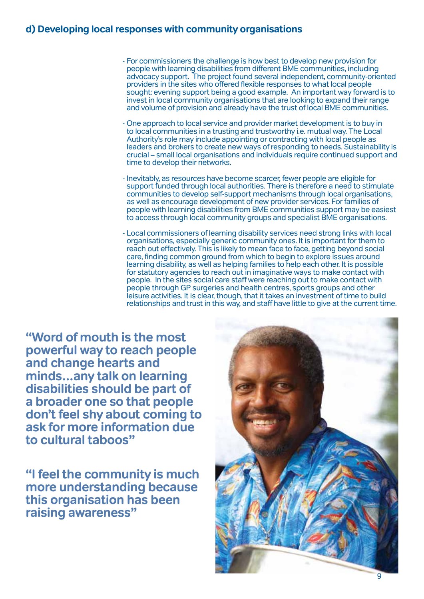# <span id="page-10-0"></span>**d) Developing local responses with community organisations**

- For commissioners the challenge is how best to develop new provision for people with learning disabilities from different BME communities, including advocacy support. The project found several independent, community-oriented providers in the sites who offered flexible responses to what local people sought: evening support being a good example. An important way forward is to invest in local community organisations that are looking to expand their range and volume of provision and already have the trust of local BME communities.
- One approach to local service and provider market development is to buy in to local communities in a trusting and trustworthy i.e. mutual way. The Local Authority's role may include appointing or contracting with local people as leaders and brokers to create new ways ofresponding to needs. Sustainability is crucial – small local organisations and individuals require continued support and time to develop their networks.
- Inevitably, as resources have become scarcer, fewer people are eligible for support funded through local authorities. There is therefore a need to stimulate communities to develop self-support mechanisms through local organisations, as well as encourage development of new provider services. For families of people with learning disabilities from BME communities support may be easiest to access through local community groups and specialist BME organisations.
- Local commissioners of learning disability services need strong links with local organisations, especially generic community ones. It is important forthem to reach out effectively. This is likely to mean face to face, getting beyond social care, finding common ground from which to begin to explore issues around learning disability, as well as helping families to help each other. It is possible for statutory agencies to reach out in imaginative ways to make contact with people. In the sites social care staff were reaching out to make contact with people through GP surgeries and health centres, sports groups and other leisure activities. It is clear, though, that it takes an investment of time to build relationships and trust in this way, and staff have little to give at the current time.

**"Word of mouth is the most powerful way to reach people and change hearts and minds…any talk on learning disabilities should be part of a broader one so that people don't feel shy about coming to ask for more information due to cultural taboos"**

**"I feel the community is much more understanding because this organisation has been raising awareness"**

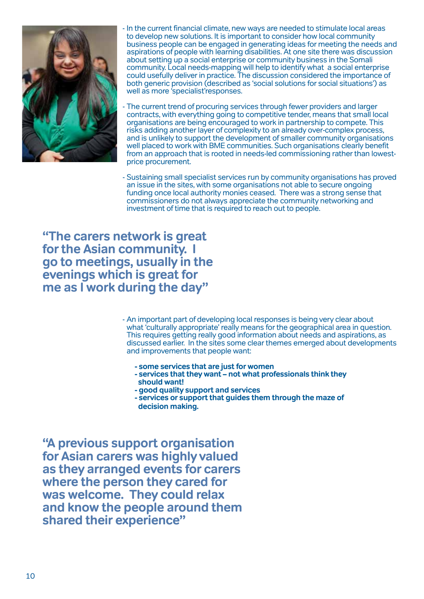

In the current financial climate, new ways are needed to stimulate local areas to develop new solutions. It is important to consider how local community business people can be engaged in generating ideas for meeting the needs and aspirations of people with learning disabilities. At one site there was discussion about setting up a social enterprise or community business in the Somali community. Local needs-mapping will help to identify what a social enterprise could usefully deliverin practice. The discussion considered the importance of both generic provision (described as 'social solutions for social situations') as well as more 'specialist'responses.

The current trend of procuring services through fewer providers and larger contracts, with everything going to competitive tender, means that small local organisations are being encouraged to work in partnership to compete. This risks adding another layer of complexity to an already over-complex process, and is unlikely to support the development of smaller community organisations well placed to work with BME communities. Such organisations clearly benefit from an approach that is rooted in needs-led commissioning rather than lowestprice procurement.

- Sustaining small specialist services run by community organisations has proved an issue in the sites, with some organisations not able to secure ongoing funding once local authority monies ceased. There was a strong sense that commissioners do not always appreciate the community networking and investment of time that is required to reach out to people.

**"The carers network is great for the Asian community. I go to meetings, usually in the evenings which is great for me as I work during the day"**

> - An important part of developing local responses is being very clear about what 'culturally appropriate' really means forthe geographical area in question. This requires getting really good information about needs and aspirations, as discussed earlier. In the sites some clearthemes emerged about developments and improvements that people want:

- **some services that are just for women**
- **services that they want not what professionals think they should want!**
- **good quality support and services**
- **services or support that guides them through the maze of decision making.**

**"A previous support organisation for Asian carers was highly valued as they arranged events for carers where the person they cared for was welcome. They could relax and know the people around them shared their experience"**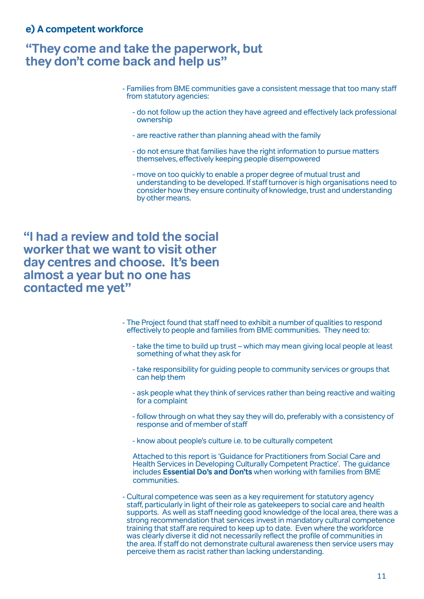# <span id="page-12-0"></span>**"They come and take the paperwork, but they don't come back and help us"**

- Families from BME communities gave a consistent message that too many staff from statutory agencies:
	- do not follow up the action they have agreed and effectively lack professional ownership
	- are reactive rather than planning ahead with the family
	- do not ensure that families have the right information to pursue matters themselves, effectively keeping people disempowered
	- move on too quickly to enable a proper degree of mutual trust and understanding to be developed. If staffturnoveris high organisations need to consider how they ensure continuity of knowledge, trust and understanding by other means.

**"I had a review and told the social worker that we want to visit other day centres and choose. It's been almost a year but no one has contacted me yet"** 

- The Project found that staff need to exhibit a number of qualities to respond effectively to people and families from BME communities. They need to:
	- take the time to build up trust which may mean giving local people at least something of what they ask for
	- take responsibility for guiding people to community services or groups that can help them
	- ask people what they think of services ratherthan being reactive and waiting for a complaint
	- follow through on what they say they will do, preferably with a consistency of response and of member of staff
	- know about people's culture i.e. to be culturally competent

Attached to this report is 'Guidance for Practitioners from Social Care and Health Services in Developing Culturally Competent Practice'. The guidance includes **Essential Do's and Don'ts** when working with families from BME communities.

- Cultural competence was seen as a key requirement for statutory agency staff, particularly in light of their role as gatekeepers to social care and health supports. As well as staff needing good knowledge ofthe local area, there was a strong recommendation that services invest in mandatory cultural competence training that staff are required to keep up to date. Even where the workforce was clearly diverse it did not necessarily reflect the profile of communities in the area. If staff do not demonstrate cultural awareness then service users may perceive them as racist rather than lacking understanding.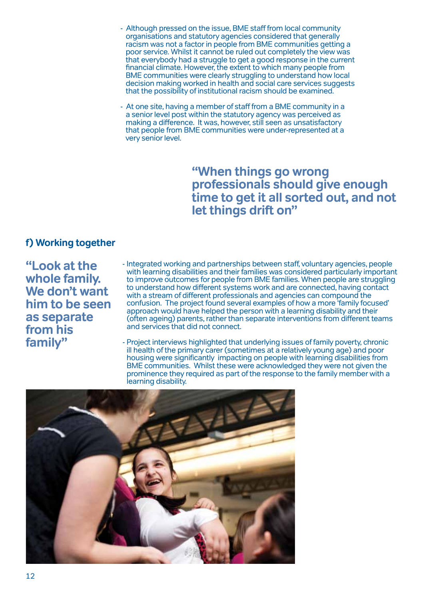- <span id="page-13-0"></span>- Although pressed on the issue, BME staff from local community<br>organisations and statutory agencies considered that generally<br>racism was not a factor in people from BME communities getting a<br>poor service. Whilst it cannot
- At one site, having a member of staff from a BME community in a a senior level post within the statutory agency was perceived as making a difference. It was, however, still seen as unsatisfactory that people from BME communities were under-represented at a very senior level.

# **"When things go wrong professionals should give enough time to get it all sorted out, and not let things drift on"**

# **f) Working together**

**"Look at the whole family. We don't want him to be seen as separate from his family"**

- Integrated working and partnerships between staff, voluntary agencies, people with learning disabilities and their families was considered particularly important to improve outcomes for people from BME families. When people are struggling to understand how different systems work and are connected, having contact with a stream of different professionals and agencies can compound the confusion. The project found several examples of how a more 'family focused' approach would have helped the person with a learning disability and their (often ageing) parents, ratherthan separate interventions from different teams and services that did not connect.
- Project interviews highlighted that underlying issues of family poverty, chronic ill health ofthe primary carer(sometimes at a relatively young age) and poor housing were significantly impacting on people with learning disabilities from BME communities. Whilst these were acknowledged they were not given the prominence they required as part of the response to the family member with a learning disability.

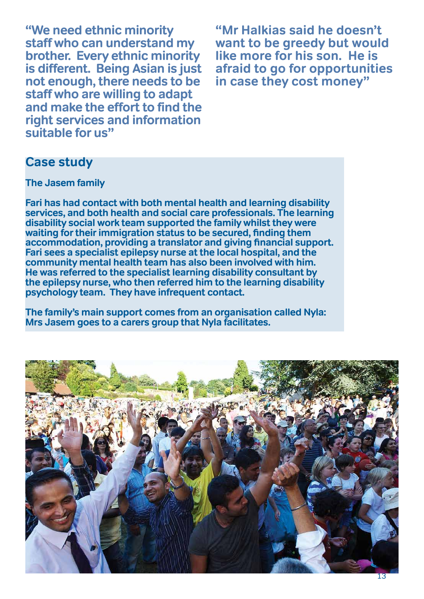**"We need ethnic minority staff who can understand my brother. Every ethnic minority is different. Being Asian is just not enough, there needs to be staff who are willing to adapt and make the effort to find the right services and information suitable for us"**

**"Mr Halkias said he doesn't want to be greedy but would like more for his son. He is afraid to go for opportunities in case they cost money"**

# **Case study**

**The Jasem family**

**Fari has had contact with both mental health and learning disability services, and both health and social care professionals. The learning disability social work team supported the family whilst they were waiting fortheirimmigration status to be secured, finding them accommodation, providing a translator and giving financial support. Fari sees a specialist epilepsy nurse at the local hospital, and the community mental health team has also been involved with him. He was referred to the specialist learning disability consultant by the epilepsy nurse, who then referred him to the learning disability psychology team. They have infrequent contact.**

**The family's main support comes from an organisation called Nyla: Mrs Jasem goes to a carers group that Nyla facilitates.**

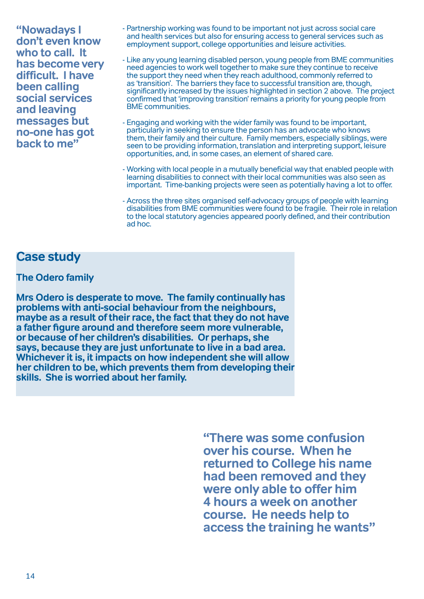**"Nowadays I don't even know who to call. It has become very difficult. I have been calling social services and leaving messages but no-one has got back to me"**

- Partnership working was found to be important not just across social care and health services but also for ensuring access to general services such as employment support, college opportunities and leisure activities.
- Like any young learning disabled person, young people from BME communities need agencies to work well together to make sure they continue to receive the support they need when they reach adulthood, commonly referred to as 'transition'. The barriers they face to successful transition are, though, significantly increased by the issues highlighted in section 2 above. The project confirmed that 'improving transition' remains a priority for young people from BME communities.
- Engaging and working with the wider family was found to be important, particularly in seeking to ensure the person has an advocate who knows them, their family and their culture. Family members, especially siblings, were seen to be providing information, translation and interpreting support, leisure opportunities, and, in some cases, an element of shared care.
- Working with local people in a mutually beneficial way that enabled people with learning disabilities to connect with theirlocal communities was also seen as important. Time-banking projects were seen as potentially having a lot to offer.
- Across the three sites organised self-advocacy groups of people with learning disabilities from BME communities were found to be fragile. Theirrole in relation to the local statutory agencies appeared poorly defined, and their contribution ad hoc.

# **Case study**

# **The Odero family**

**Mrs Odero is desperate to move. The family continually has problems with anti-social behaviour from the neighbours, maybe as a result of their race, the fact that they do not have a father figure around and therefore seem more vulnerable, or because of her children's disabilities. Or perhaps, she says, because they are just unfortunate to live in a bad area. Whichever it is, it impacts on how independent she will allow her children to be, which prevents them from developing their skills. She is worried about her family.**

> **"There was some confusion over his course. When he returned to College his name had been removed and they were only able to offer him 4 hours a week on another course. He needs help to access the training he wants"**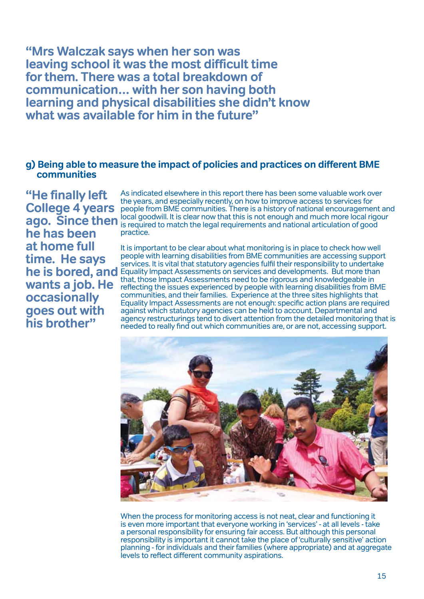<span id="page-16-0"></span>**"Mrs Walczak says when her son was leaving school it was the most difficult time for them. There was a total breakdown of communication… with her son having both learning and physical disabilities she didn't know what was available for him in the future"**

# **g) Being able to measure the impact of policies and practices on different BME communities**

**"He finally left College 4 years ago. Since then he has been at home full time. He says wants a job. He occasionally goes out with his brother"**

As indicated elsewhere in this report there has been some valuable work over the years, and especially recently, on how to improve access to services for people from BME communities. There is a history of national encouragement and local goodwill. It is clear now that this is not enough and much more local rigour is required to match the legal requirements and national articulation of good practice.

**he is bored, and**  Equality Impact Assessments on services and developments. But more than It is important to be clear about what monitoring is in place to check how well people with learning disabilities from BME communities are accessing support services. It is vital that statutory agencies fulfil their responsibility to undertake that, those Impact Assessments need to be rigorous and knowledgeable in reflecting the issues experienced by people with learning disabilities from BME communities, and theirfamilies. Experience at the three sites highlights that Equality Impact Assessments are not enough: specific action plans are required against which statutory agencies can be held to account. Departmental and agency restructurings tend to divert attention from the detailed monitoring that is needed to really find out which communities are, or are not, accessing support.



When the process for monitoring access is not neat, clear and functioning it is even more important that everyone working in 'services' - at all levels - take a personal responsibility for ensuring fair access. But although this personal responsibility is important it cannot take the place of 'culturally sensitive' action planning - for individuals and their families (where appropriate) and at aggregate levels to reflect different community aspirations.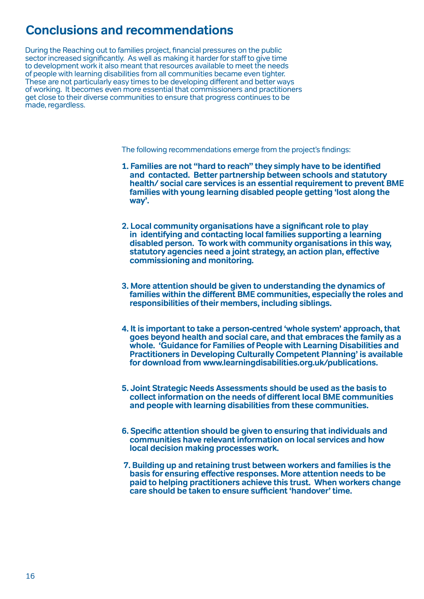# <span id="page-17-0"></span>**Conclusions and recommendations**

During the Reaching out to families project, financial pressures on the public sector increased significantly. As well as making it harder for staff to give time to development work it also meant that resources available to meet the needs of people with learning disabilities from all communities became even tighter. These are not particularly easy times to be developing different and better ways of working. It becomes even more essential that commissioners and practitioners get close to their diverse communities to ensure that progress continues to be made, regardless.

The following recommendations emerge from the project's findings:

- **1. Families are not "hard to reach" they simply have to be identified and contacted. Better partnership between schools and statutory health/ social care services is an essential requirement to prevent BME families with young learning disabled people getting 'lost along the way'.**
- **2. Local community organisations have a significantrole to play in identifying and contacting local families supporting a learning disabled person. To work with community organisations in this way, statutory agencies need a joint strategy, an action plan, effective commissioning and monitoring.**
- **3. More attention should be given to understanding the dynamics of families within the different BME communities, especially the roles and responsibilities of their members, including siblings.**
- **4. It is important to take a person-centred 'whole system' approach, that goes beyond health and social care, and that embraces the family as a whole. 'Guidance for Families of People with Learning Disabilities and Practitioners in Developing Culturally Competent Planning' is available for download from [www.learningdisabilities.org.uk/publications.](www.learningdisabilities.org.uk
)**
- **5. Joint Strategic Needs Assessments should be used as the basis to collect information on the needs of different local BME communities and people with learning disabilities from these communities.**
- **6. Specific attention should be given to ensuring that individuals and communities have relevant information on local services and how local decision making processes work.**
- **7. Building up and retaining trust between workers and families is the basis for ensuring effective responses. More attention needs to be paid to helping practitioners achieve this trust. When workers change care should be taken to ensure sufficient 'handover' time.**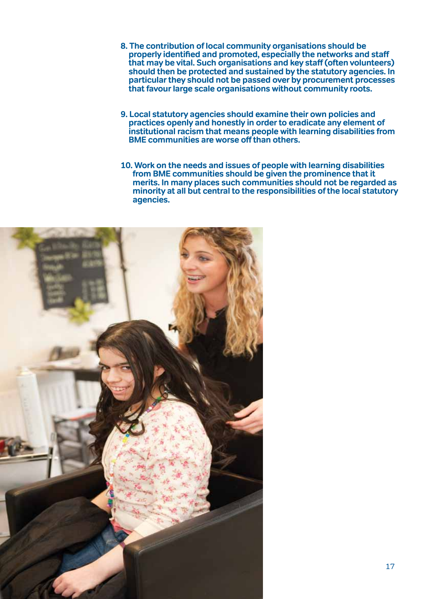- **8. The contribution of local community organisations should be**  that may be vital. Such organisations and key staff (often volunteers) **should then be protected and sustained by the statutory agencies. In particular they should not be passed over by procurement processes that favour large scale organisations without community roots.**
- **9. Local statutory agencies should examine their own policies and practices openly and honestly in order to eradicate any element of institutional racism that means people with learning disabilities from BME communities are worse offthan others.**
- **10. Work on the needs and issues of people with learning disabilities from BME communities should be given the prominence that it merits. In many places such communities should not be regarded as minority at all but central to the responsibilities of the local statutory agencies.**

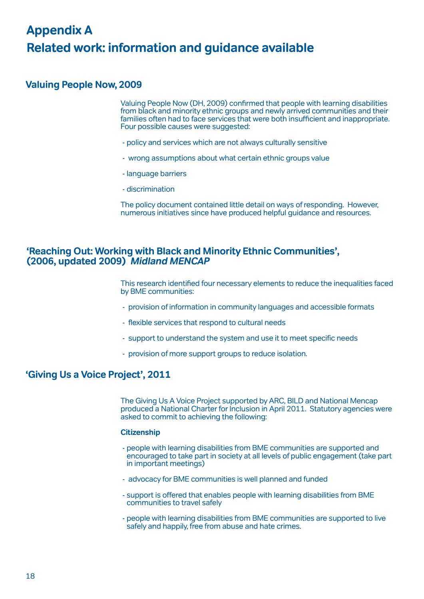# <span id="page-19-0"></span>**Appendix A Related work: information and guidance available**

# **Valuing People Now,2009**

Valuing People Now (DH, 2009) confirmed that people with learning disabilities from black and minority ethnic groups and newly arrived communities and their families often had to face services that were both insufficient and inappropriate. Four possible causes were suggested:

- policy and services which are not always culturally sensitive
- wrong assumptions about what certain ethnic groups value
- language barriers
- discrimination

The policy document contained little detail on ways ofresponding. However, numerous initiatives since have produced helpful guidance and resources.

## **'Reaching Out: Working with Black and Minority Ethnic Communities', (2006, updated 2009) Midland MENCAP**

This research identified four necessary elements to reduce the inequalities faced by BME communities:

- provision of information in community languages and accessible formats
- flexible services that respond to cultural needs
- support to understand the system and use it to meet specific needs
- provision of more support groups to reduce isolation.

## **'Giving Us a Voice Project', 2011**

The Giving Us A Voice Project supported by ARC, BILD and National Mencap produced a National Charter for Inclusion in April 2011. Statutory agencies were asked to commit to achieving the following:

#### **Citizenship**

- people with learning disabilities from BME communities are supported and encouraged to take part in society at all levels of public engagement (take part in important meetings)
- advocacy for BME communities is well planned and funded
- support is offered that enables people with learning disabilities from BME communities to travel safely
- people with learning disabilities from BME communities are supported to live safely and happily, free from abuse and hate crimes.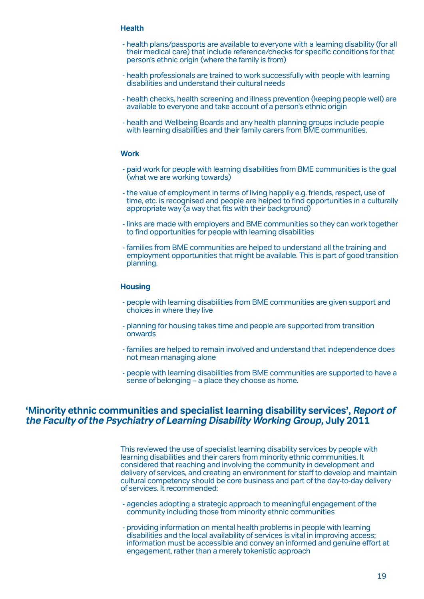#### **Health**

- health plans/passports are available to everyone with a learning disability (for all their medical care) that include reference/checks for specific conditions forthat person's ethnic origin (where the family is from)
- health professionals are trained to work successfully with people with learning disabilities and understand their cultural needs
- health checks, health screening and illness prevention (keeping people well) are available to everyone and take account of a person's ethnic origin
- health and Wellbeing Boards and any health planning groups include people with learning disabilities and their family carers from BME communities.

#### **Work**

- paid work for people with learning disabilities from BME communities is the goal (what we are working towards)
- the value of employment in terms of living happily e.g. friends, respect, use of time, etc. is recognised and people are helped to find opportunities in a culturally appropriate way (a way that fits with their background)
- links are made with employers and BME communities so they can work together to find opportunities for people with learning disabilities
- families from BME communities are helped to understand all the training and employment opportunities that might be available. This is part of good transition planning.

#### **Housing**

- people with learning disabilities from BME communities are given support and choices in where they live
- planning for housing takes time and people are supported from transition onwards
- families are helped to remain involved and understand that independence does not mean managing alone
- people with learning disabilities from BME communities are supported to have a sense of belonging – a place they choose as home.

#### **'Minority ethnic communities and specialist learning disability services', Report of the Faculty of the Psychiatry of Learning Disability Working Group, July 2011**

This reviewed the use of specialist learning disability services by people with learning disabilities and their carers from minority ethnic communities. It considered that reaching and involving the community in development and delivery of services, and creating an environment for staff to develop and maintain cultural competency should be core business and part ofthe day-to-day delivery of services. It recommended:

- agencies adopting a strategic approach to meaningful engagement ofthe community including those from minority ethnic communities
- providing information on mental health problems in people with learning disabilities and the local availability of services is vital in improving access; information must be accessible and convey an informed and genuine effort at engagement, rather than a merely tokenistic approach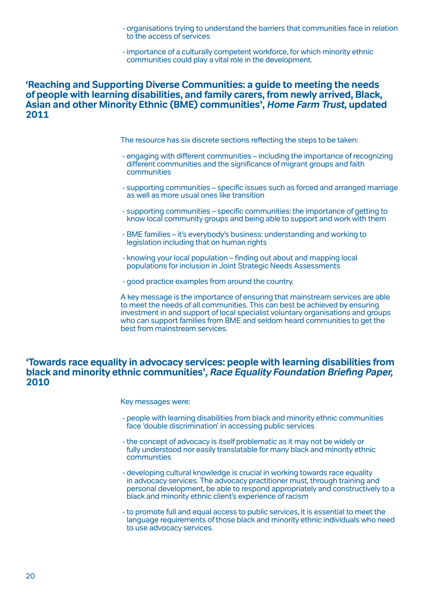- organisations trying to understand the barriers that communities face in relation to the access of services
- importance of a culturally competent workforce, for which minority ethnic communities could play a vital role in the development.

#### **'Reaching and Supporting Diverse Communities: a guide to meeting the needs of people with learning disabilities, and family carers, from newly arrived, Black, Asian and other Minority Ethnic (BME) communities', Home Farm Trust, updated 2011**

The resource has six discrete sections reflecting the steps to be taken:

- engaging with different communities including the importance ofrecognizing different communities and the significance of migrant groups and faith communities
- supporting communities specific issues such as forced and arranged marriage as well as more usual ones like transition
- supporting communities specific communities: the importance of getting to know local community groups and being able to support and work with them
- BME families it's everybody's business: understanding and working to legislation including that on human rights
- knowing your local population finding out about and mapping local populations forinclusion in Joint Strategic Needs Assessments
- good practice examples from around the country.

A key message is the importance of ensuring that mainstream services are able to meet the needs of all communities. This can best be achieved by ensuring investment in and support of local specialist voluntary organisations and groups who can support families from BME and seldom heard communities to get the best from mainstream services.

#### **'Towards race equality in advocacy services: people with learning disabilities from black and minority ethnic communities', Race Equality Foundation Briefing Paper, 2010**

Key messages were:

- people with learning disabilities from black and minority ethnic communities face 'double discrimination' in accessing public services
- the concept of advocacy is itself problematic as it may not be widely or fully understood nor easily translatable for many black and minority ethnic communities
- developing cultural knowledge is crucial in working towards race equality in advocacy services. The advocacy practitioner must, through training and personal development, be able to respond appropriately and constructively to a black and minority ethnic client's experience ofracism
- to promote full and equal access to public services, it is essential to meet the language requirements ofthose black and minority ethnic individuals who need to use advocacy services.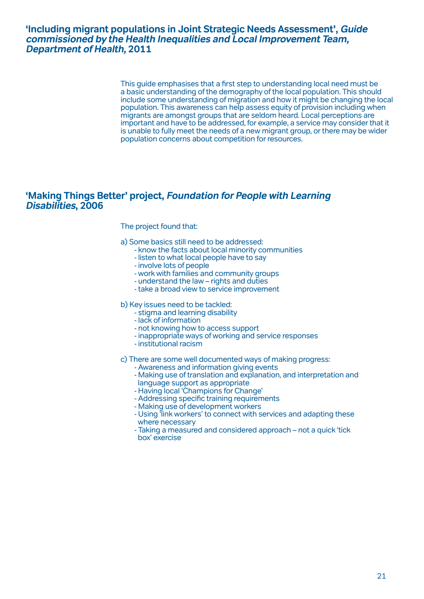## **'Including migrant populations in Joint Strategic Needs Assessment', Guide commissioned by the Health Inequalities and Local Improvement Team, Department of Health, 2011**

This guide emphasises that a first step to understanding local need must be a basic understanding ofthe demography ofthe local population. This should include some understanding of migration and how it might be changing the local population. This awareness can help assess equity of provision including when migrants are amongst groups that are seldom heard. Local perceptions are important and have to be addressed, for example, a service may consider that it is unable to fully meet the needs of a new migrant group, orthere may be wider population concerns about competition forresources.

## **'Making Things Better' project, Foundation for People with Learning Disabilities, 2006**

#### The project found that:

- a) Some basics still need to be addressed:
	- know the facts about local minority communities
	- listen to what local people have to say
	- involve lots of people
	- work with families and community groups
	- understand the law rights and duties
	- take a broad view to service improvement

#### b) Key issues need to be tackled:

- stigma and learning disability
- lack of information
- not knowing how to access support
- inappropriate ways of working and service responses institutional racism
- 

- 
- 
- 
- 
- 
- 
- c) There are some well documented ways of making progress:<br>
 Awareness and information giving events<br>
 Making use of translation and explanation, and interpretation and<br>
language support as appropriate<br>
 Having local 'C
	-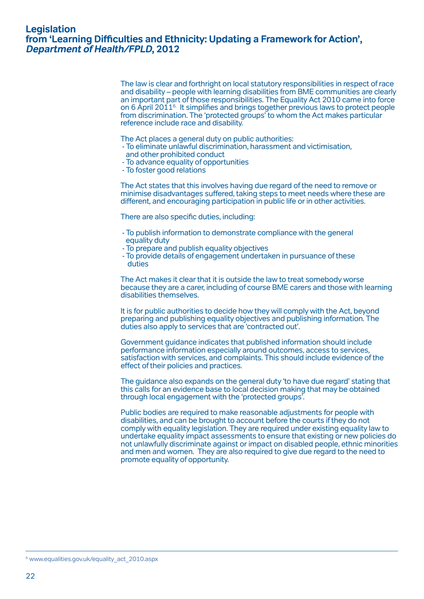## **Legislation from 'Learning Difficulties and Ethnicity: Updating a Framework for Action', Department of Health/FPLD, 2012**

The law is clear and forthright on local statutory responsibilities in respect ofrace and disability – people with learning disabilities from BME communities are clearly an important part ofthose responsibilities. The Equality Act 2010 came into force on 6 April 20116. It simplifies and brings together previous laws to protect people from discrimination. The 'protected groups' to whom the Act makes particular reference include race and disability.

- The Act places a general duty on public authorities:<br>- To eliminate unlawful discrimination, harassment and victimisation,<br>and other prohibited conduct<br>- To advance equality of opportunities<br>- To foster good relations
	-
	-

The Act states that this involves having due regard ofthe need to remove or minimise disadvantages suffered, taking steps to meet needs where these are different, and encouraging participation in public life orin other activities.

There are also specific duties, including:

- To publish information to demonstrate compliance with the general equality duty To prepare and publish equality objectives To provide details of engagement undertaken in pursuance ofthese duties
- 
- 

The Act makes it clear that it is outside the law to treat somebody worse because they are a carer, including of course BME carers and those with learning disabilities themselves.

It is for public authorities to decide how they will comply with the Act, beyond preparing and publishing equality objectives and publishing information. The duties also apply to services that are 'contracted out'.

Government guidance indicates that published information should include performance information especially around outcomes, access to services, satisfaction with services, and complaints. This should include evidence ofthe effect of their policies and practices.

The guidance also expands on the general duty 'to have due regard' stating that this calls for an evidence base to local decision making that may be obtained through local engagement with the 'protected groups'.

Public bodies are required to make reasonable adjustments for people with disabilities, and can be brought to account before the courts ifthey do not comply with equality legislation. They are required under existing equality law to undertake equality impact assessments to ensure that existing or new policies do not unlawfully discriminate against orimpact on disabled people, ethnic minorities and men and women. They are also required to give due regard to the need to promote equality of opportunity.

<sup>&</sup>lt;sup>6</sup> www.equalities.gov.uk/equality\_act\_2010.aspx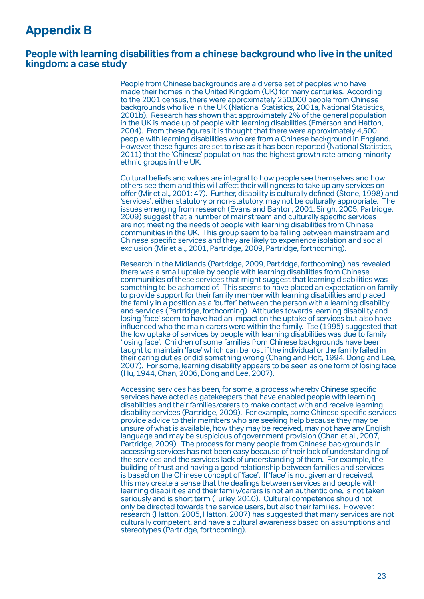# <span id="page-24-0"></span>**Appendix B**

## **People with learning disabilities from a chinese background who live in the united kingdom: a case study**

People from Chinese backgrounds are a diverse set of peoples who have made their homes in the United Kingdom (UK) for many centuries. According to the 2001 census, there were approximately 250,000 people from Chinese backgrounds who live in the UK (National Statistics, 2001a, National Statistics, 2001b). Research has shown that approximately 2% ofthe general population in the UK is made up of people with learning disabilities (Emerson and Hatton, 2004). From these figures it is thought that there were approximately 4,500 people with learning disabilities who are from <sup>a</sup> Chinese background in England. However, these figures are set to rise as it has been reported (National Statistics, 2011) that the 'Chinese' population has the highest growth rate among minority ethnic groups in the UK.

Cultural beliefs and values are integral to how people see themselves and how others see them and this will affect their willingness to take up any services on offer(Mir et al., 2001: 47). Further, disability is culturally defined (Stone, 1998) and 'services', either statutory or non-statutory, may not be culturally appropriate. The issues emerging from research (Evans and Banton, 2001, Singh, 2005, Partridge, 2009) suggest that <sup>a</sup> number of mainstream and culturally specific services are not meeting the needs of people with learning disabilities from Chinese communities in the UK. This group seem to be falling between mainstream and Chinese specific services and they are likely to experience isolation and social exclusion (Mir et al., 2001, Partridge, 2009, Partridge, forthcoming).

Research in the Midlands (Partridge, 2009, Partridge, forthcoming) has revealed there was a small uptake by people with learning disabilities from Chinese communities ofthese services that might suggest that learning disabilities was something to be ashamed of. This seems to have placed an expectation on family to provide support for their family member with learning disabilities and placed the family in a position as a 'buffer' between the person with a learning disability and services (Partridge, forthcoming). Attitudes towards learning disability and losing 'face' seem to have had an impact on the uptake of services but also have influenced who the main carers were within the family. Tse (1995) suggested that the low uptake of services by people with learning disabilities was due to family 'losing face'. Children of some families from Chinese backgrounds have been taught to maintain 'face' which can be lost ifthe individual orthe family failed in their caring duties or did something wrong (Chang and Holt, 1994, Dong and Lee, 2007). For some, learning disability appears to be seen as one form of losing face (Hu, 1944, Chan, 2006, Dong and Lee, 2007).

Accessing services has been, for some, a process whereby Chinese specific services have acted as gatekeepers that have enabled people with learning disabilities and theirfamilies/carers to make contact with and receive learning disability services (Partridge, 2009). For example, some Chinese specific services provide advice to their members who are seeking help because they may be unsure of what is available, how they may be received, may not have any English language and may be suspicious of government provision (Chan et al., 2007, Partridge, 2009). The process for many people from Chinese backgrounds in accessing services has not been easy because oftheirlack of understanding of the services and the services lack of understanding ofthem. For example, the building oftrust and having a good relationship between families and services is based on the Chinese concept of 'face'. If 'face' is not given and received, this may create a sense that the dealings between services and people with learning disabilities and their family/carers is not an authentic one, is not taken seriously and is short term (Turley, 2010). Cultural competence should not only be directed towards the service users, but also theirfamilies. However, research (Hatton, 2005, Hatton, 2007) has suggested that many services are not culturally competent, and have a cultural awareness based on assumptions and stereotypes (Partridge, forthcoming).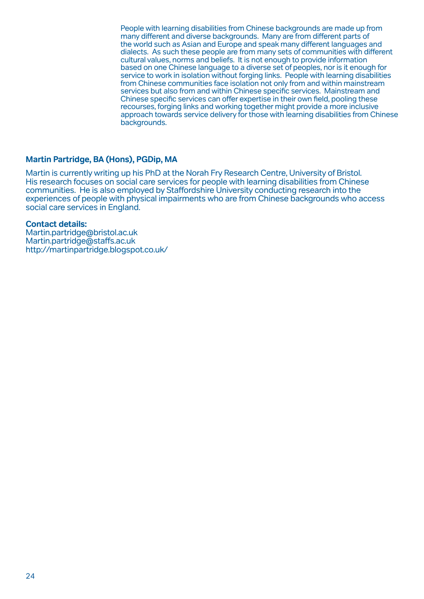People with learning disabilities from Chinese backgrounds are made up from many different and diverse backgrounds. Many are from different parts of the world such as Asian and Europe and speak many different languages and dialects. As such these people are from many sets of communities with different cultural values, norms and beliefs. It is not enough to provide information based on one Chinese language to a diverse set of peoples, noris it enough for service to work in isolation without forging links. People with learning disabilities from Chinese communities face isolation not only from and within mainstream services but also from and within Chinese specific services. Mainstream and Chinese specific services can offer expertise in their own field, pooling these recourses, forging links and working together might provide a more inclusive approach towards service delivery forthose with learning disabilities from Chinese backgrounds.

## **Martin Partridge, BA (Hons), PGDip, MA**

Martin is currently writing up his PhD at the Norah Fry Research Centre, University of Bristol. His research focuses on social care services for people with learning disabilities from Chinese communities. He is also employed by Staffordshire University conducting research into the experiences of people with physical impairments who are from Chinese backgrounds who access social care services in England.

#### **Contact details:**

Martin.partridge@bristol.ac.uk Martin.partridge@staffs.ac.uk http://martinpartridge.blogspot.co.uk/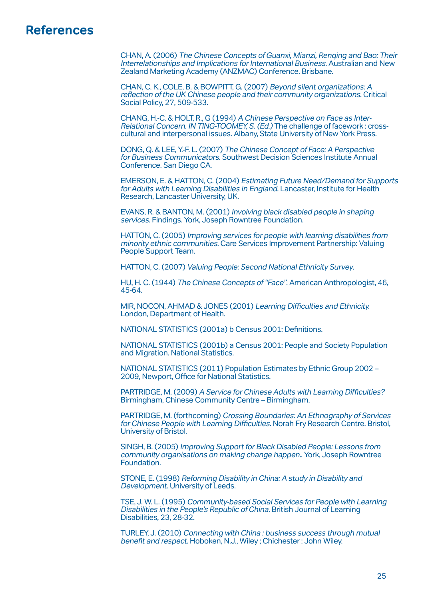# <span id="page-26-0"></span>**References**

CHAN, A. (2006) The Chinese Concepts of Guanxi, Mianzi, Renqing and Bao: Their Interrelationships and Implications for International Business. Australian and New Zealand Marketing Academy (ANZMAC) Conference. Brisbane.

CHAN, C. K., COLE, B. & BOWPITT, G. (2007) Beyond silent organizations: A reflection ofthe UK Chinese people and their community organizations. Critical Social Policy, 27, 509-533.

CHANG, H.-C. & HOLT, R., G (1994) A Chinese Perspective on Face as Inter-Relational Concern. IN TING-TOOMEY, S. (Ed.) The challenge of facework : crosscultural and interpersonal issues. Albany, State University of New York Press.

DONG, Q. & LEE, Y.-F. L. (2007) The Chinese Concept of Face: A Perspective for Business Communicators. Southwest Decision Sciences Institute Annual Conference. San Diego CA.

EMERSON, E. & HATTON, C. (2004) Estimating Future Need/Demand for Supports for Adults with Learning Disabilities in England. Lancaster, Institute for Health Research, Lancaster University, UK.

EVANS, R. & BANTON, M. (2001) Involving black disabled people in shaping services. Findings. York, Joseph Rowntree Foundation.

HATTON, C. (2005) Improving services for people with learning disabilities from minority ethnic communities. Care Services Improvement Partnership: Valuing People Support Team.

HATTON, C. (2007) Valuing People: Second National Ethnicity Survey.

HU, H. C. (1944) The Chinese Concepts of"Face". American Anthropologist, 46, 45-64.

MIR, NOCON, AHMAD & JONES (2001) Learning Difficulties and Ethnicity. London, Department of Health.

NATIONAL STATISTICS (2001a) b Census 2001: Definitions.

NATIONAL STATISTICS (2001b) a Census 2001: People and Society Population and Migration. National Statistics.

NATIONAL STATISTICS (2011) Population Estimates by Ethnic Group <sup>2002</sup> – 2009, Newport, Office for National Statistics.

PARTRIDGE, M. (2009) A Service for Chinese Adults with Learning Difficulties? Birmingham, Chinese Community Centre – Birmingham.

PARTRIDGE, M. (forthcoming) Crossing Boundaries: An Ethnography of Services forChinese People with Learning Difficulties. Norah Fry Research Centre. Bristol, University of Bristol.

SINGH, B. (2005) Improving Support for Black Disabled People: Lessons from community organisations on making change happen.. York, Joseph Rowntree Foundation.

STONE, E. (1998) Reforming Disability in China: A study in Disability and Development. University of Leeds.

TSE, J. W. L. (1995) Community-based Social Services for People with Learning Disabilities in the People's Republic of China. British Journal of Learning Disabilities, 23, 28-32.

TURLEY, J. (2010) Connecting with China : business success through mutual benefit and respect. Hoboken, N.J., Wiley ; Chichester: John Wiley.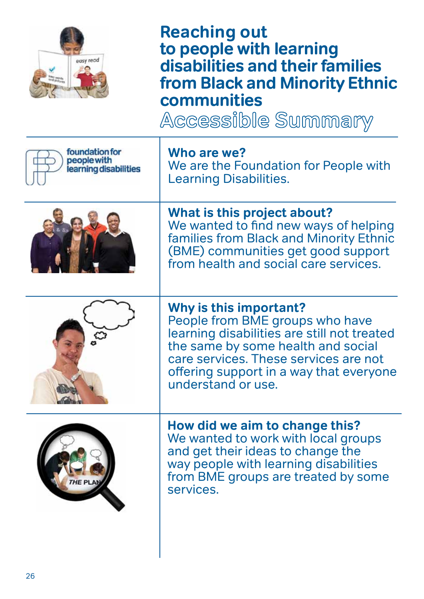

**Reaching out to people with learning disabilities and their families from Black and Minority Ethnic** 

**communities**

| foundation for<br>people with<br>learning disabilities | Who are we?<br>We are the Foundation for People with<br><b>Learning Disabilities.</b>                                                                                                                                                                    |
|--------------------------------------------------------|----------------------------------------------------------------------------------------------------------------------------------------------------------------------------------------------------------------------------------------------------------|
|                                                        | What is this project about?<br>We wanted to find new ways of helping<br>families from Black and Minority Ethnic<br>(BME) communities get good support<br>from health and social care services.                                                           |
|                                                        | Why is this important?<br>People from BME groups who have<br>learning disabilities are still not treated<br>the same by some health and social<br>care services. These services are not<br>offering support in a way that everyone<br>understand or use. |
| THE PLAN                                               | How did we aim to change this?<br>We wanted to work with local groups<br>and get their ideas to change the<br>way people with learning disabilities<br>from BME groups are treated by some<br>services.                                                  |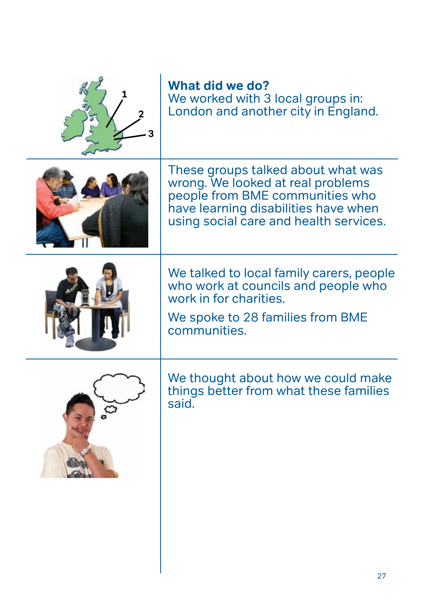|                | What did we do?<br>We worked with 3 local groups in:<br>London and another city in England.                                                                                                  |
|----------------|----------------------------------------------------------------------------------------------------------------------------------------------------------------------------------------------|
|                | These groups talked about what was<br>wrong. We looked at real problems<br>people from BME communities who<br>have learning disabilities have when<br>using social care and health services. |
|                | We talked to local family carers, people<br>who work at councils and people who<br>work in for charities.<br>We spoke to 28 families from BME<br>communities.                                |
| $\mathfrak{S}$ | We thought about how we could make<br>things better from what these families<br>said.                                                                                                        |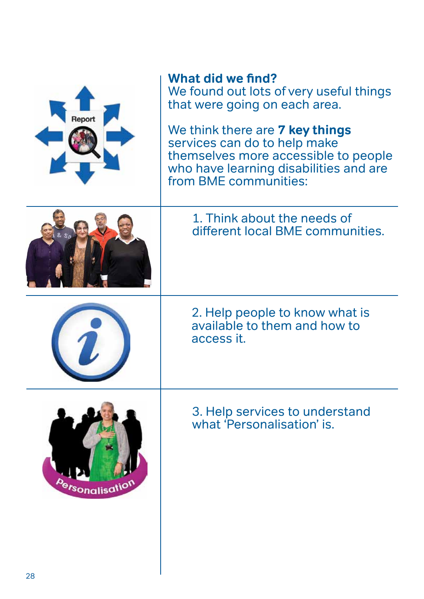

# **What did we find?**

We found out lots of very useful things that were going on each area.

We think there are **7 key things**  services can do to help make themselves more accessible to people who have learning disabilities and are from BME communities:



1. Think about the needs of different local BME communities.

2. Help people to know what is available to them and how to access it.



3. Help services to understand what 'Personalisation' is.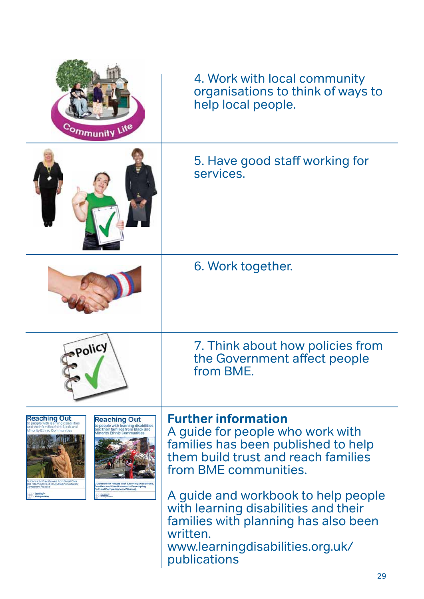| Community Life                                                                                                                                                                                                                                                                                                                                                                                                                                                                                                   | 4. Work with local community<br>organisations to think of ways to<br>help local people.                                                                                             |
|------------------------------------------------------------------------------------------------------------------------------------------------------------------------------------------------------------------------------------------------------------------------------------------------------------------------------------------------------------------------------------------------------------------------------------------------------------------------------------------------------------------|-------------------------------------------------------------------------------------------------------------------------------------------------------------------------------------|
|                                                                                                                                                                                                                                                                                                                                                                                                                                                                                                                  | 5. Have good staff working for<br>services.                                                                                                                                         |
|                                                                                                                                                                                                                                                                                                                                                                                                                                                                                                                  | 6. Work together.                                                                                                                                                                   |
| Policy                                                                                                                                                                                                                                                                                                                                                                                                                                                                                                           | 7. Think about how policies from<br>the Government affect people<br>from BME.                                                                                                       |
| <b>Reaching Out</b><br><b>Reaching Out</b><br>eople with learning disabilities<br>to people with learning disabilities<br>their families from Black and<br>and their families from Black and<br>Minority Ethnic Communities<br><b>Minority Ethnic Communities</b><br>dance for Practitioners from Social Care<br>uidance for People with Learning Disabilities<br>nd Health Services in Developing Culturally<br>npetent Practice<br>Families and Practitioners in Developing<br>Cultural Competence in Planning | <b>Further information</b><br>A guide for people who work with<br>families has been published to help<br>them build trust and reach families<br>from BME communities.               |
|                                                                                                                                                                                                                                                                                                                                                                                                                                                                                                                  | A guide and workbook to help people<br>with learning disabilities and their<br>families with planning has also been<br>written.<br>www.learningdisabilities.org.uk/<br>publications |